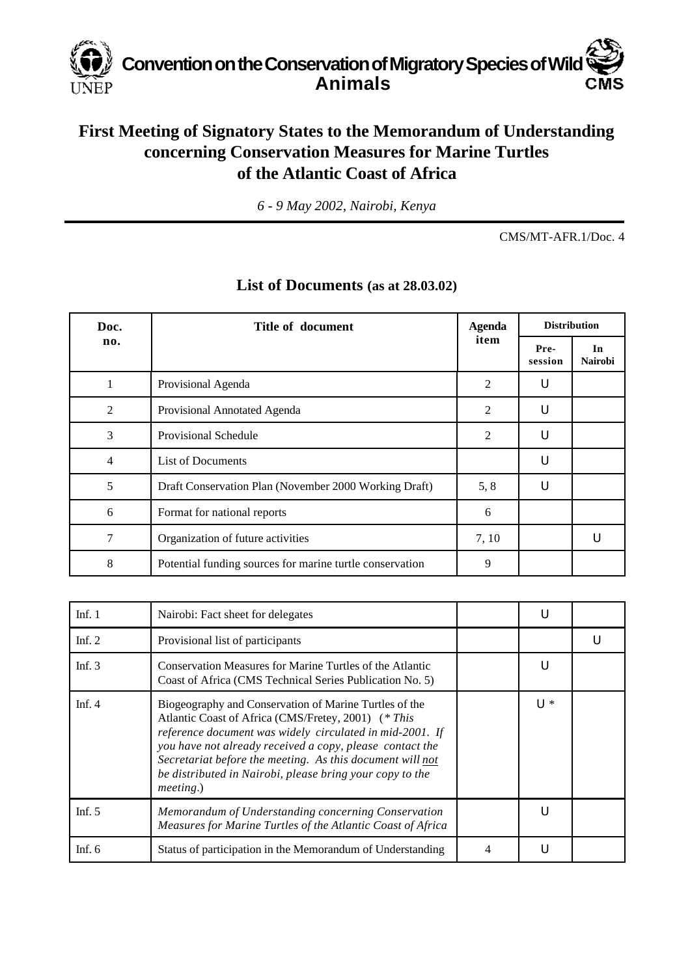

## **First Meeting of Signatory States to the Memorandum of Understanding concerning Conservation Measures for Marine Turtles of the Atlantic Coast of Africa**

*6 - 9 May 2002, Nairobi, Kenya*

CMS/MT-AFR.1/Doc. 4

| Doc.<br>no. | Title of document                                        | <b>Agenda</b><br>item | <b>Distribution</b> |                      |
|-------------|----------------------------------------------------------|-----------------------|---------------------|----------------------|
|             |                                                          |                       | Pre-<br>session     | In<br><b>Nairobi</b> |
|             | Provisional Agenda                                       | $\overline{2}$        | U                   |                      |
| 2           | Provisional Annotated Agenda                             | $\overline{c}$        | U                   |                      |
| 3           | Provisional Schedule                                     | 2                     | U                   |                      |
| 4           | <b>List of Documents</b>                                 |                       | U                   |                      |
| 5           | Draft Conservation Plan (November 2000 Working Draft)    | 5, 8                  | U                   |                      |
| 6           | Format for national reports                              | 6                     |                     |                      |
| 7           | Organization of future activities                        | 7, 10                 |                     |                      |
| 8           | Potential funding sources for marine turtle conservation | 9                     |                     |                      |

## **List of Documents (as at 28.03.02)**

| Inf. $1$ | Nairobi: Fact sheet for delegates                                                                                                                                                                                                                                                                                                                                                   | U   |  |
|----------|-------------------------------------------------------------------------------------------------------------------------------------------------------------------------------------------------------------------------------------------------------------------------------------------------------------------------------------------------------------------------------------|-----|--|
| Inf. $2$ | Provisional list of participants                                                                                                                                                                                                                                                                                                                                                    |     |  |
| Inf. $3$ | Conservation Measures for Marine Turtles of the Atlantic<br>Coast of Africa (CMS Technical Series Publication No. 5)                                                                                                                                                                                                                                                                |     |  |
| Inf. $4$ | Biogeography and Conservation of Marine Turtles of the<br>Atlantic Coast of Africa (CMS/Fretey, 2001) (* This<br>reference document was widely circulated in mid-2001. If<br>you have not already received a copy, please contact the<br>Secretariat before the meeting. As this document will not<br>be distributed in Nairobi, please bring your copy to the<br><i>meeting.</i> ) | U * |  |
| Inf. $5$ | Memorandum of Understanding concerning Conservation<br>Measures for Marine Turtles of the Atlantic Coast of Africa                                                                                                                                                                                                                                                                  | U   |  |
| Inf. $6$ | Status of participation in the Memorandum of Understanding                                                                                                                                                                                                                                                                                                                          |     |  |